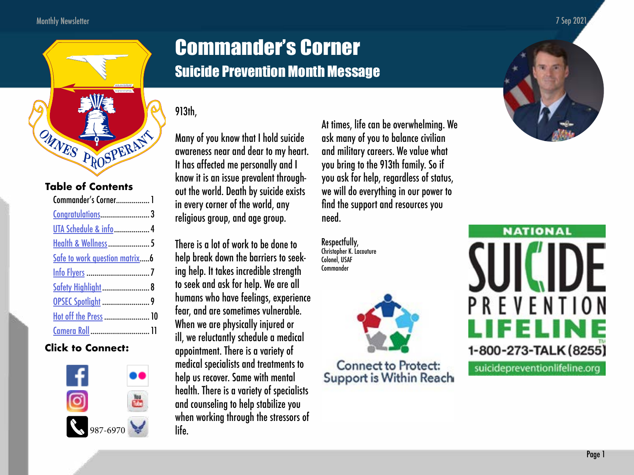

## **Table of Contents**

| Commander's Corner 1            |  |
|---------------------------------|--|
|                                 |  |
| UTA Schedule & info  4          |  |
| <b>Health &amp; Wellness  5</b> |  |
| Safe to work question matrix6   |  |
|                                 |  |
| Safety Highlight  8             |  |
|                                 |  |
| Hot off the Press  10           |  |
| Camera Roll  11                 |  |

## **Click to Connect:**



# Commander's Corner Suicide Prevention Month Message

## 913th,

Many of you know that I hold suicide awareness near and dear to my heart. It has affected me personally and I know it is an issue prevalent through out the world. Death by suicide exists in every corner of the world, any religious group, and age group.

There is a lot of work to be done to help break down the barriers to seeking help. It takes incredible strength to seek and ask for help. We are all humans who have feelings, experience fear, and are sometimes vulnerable. When we are physically injured or ill, we reluctantly schedule a medical appointment. There is a variety of medical specialists and treatments to help us recover. Same with mental health. There is a variety of specialists and counseling to help stabilize you when working through the stressors of life.

At times, life can be overwhelming. We ask many of you to balance civilian and military careers. We value what you bring to the 913th family. So if you ask for help, regardless of status, we will do everything in our power to find the support and resources you need.

Respectfully, Christopher K. Lacouture Colonel, USAF **Commander** 



Support is Within Reach





suicidepreventionlifeline.org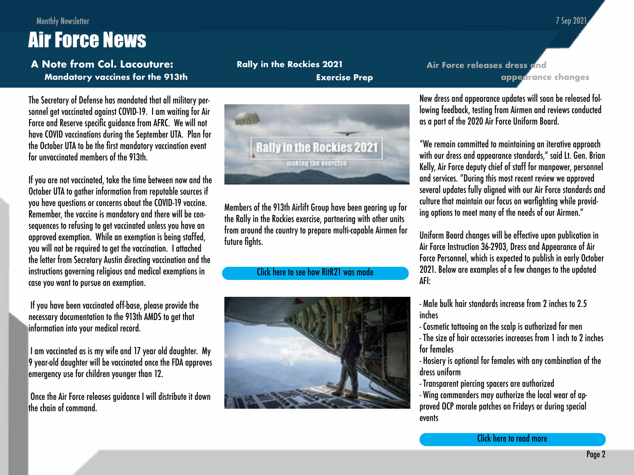**appearance changes**

# Monthly Newsletter Air Force News

**Mandatory vaccines for the 913th A Note from Col. Lacouture:**

The Secretary of Defense has mandated that all military personnel get vaccinated against COVID-19. I am waiting for Air Force and Reserve specific guidance from AFRC. We will not have COVID vaccinations during the September UTA. Plan for the October UTA to be the first mandatory vaccination event for unvaccinated members of the 913th.

If you are not vaccinated, take the time between now and the October UTA to gather information from reputable sources if you have questions or concerns about the COVID-19 vaccine. Remember, the vaccine is mandatory and there will be consequences to refusing to get vaccinated unless you have an approved exemption. While an exemption is being staffed, you will not be required to get the vaccination. I attached the letter from Secretary Austin directing vaccination and the instructions governing religious and medical exemptions in case you want to pursue an exemption.

 If you have been vaccinated off-base, please provide the necessary documentation to the 913th AMDS to get that information into your medical record.

 I am vaccinated as is my wife and 17 year old daughter. My 9 year-old daughter will be vaccinated once the FDA approves emergency use for children younger than 12.

 Once the Air Force releases guidance I will distribute it down the chain of command.

**Rally in the Rockies 2021 Exercise Prep**



Members of the 913th Airlift Group have been gearing up for the Rally in the Rockies exercise, partnering with other units from around the country to prepare multi-capable Airmen for future fights.

### [Click here to see how RitR21 was made](https://www.youtube.com/watch?v=8vXcAREnDyA)



New dress and appearance updates will soon be released following feedback, testing from Airmen and reviews conducted as a part of the 2020 Air Force Uniform Board.

**Air Force releases dress and** 

"We remain committed to maintaining an iterative approach with our dress and appearance standards," said Lt. Gen. Brian Kelly, Air Force deputy chief of staff for manpower, personnel and services. "During this most recent review we approved several updates fully aligned with our Air Force standards and culture that maintain our focus on warfighting while providing options to meet many of the needs of our Airmen."

Uniform Board changes will be effective upon publication in Air Force Instruction 36-2903, Dress and Appearance of Air Force Personnel, which is expected to publish in early October 2021. Below are examples of a few changes to the updated AFI:

- Male bulk hair standards increase from 2 inches to 2.5 inches
- Cosmetic tattooing on the scalp is authorized for men

- The size of hair accessories increases from 1 inch to 2 inches for females

- Hosiery is optional for females with any combination of the dress uniform

- Transparent piercing spacers are authorized

- Wing commanders may authorize the local wear of approved OCP morale patches on Fridays or during special events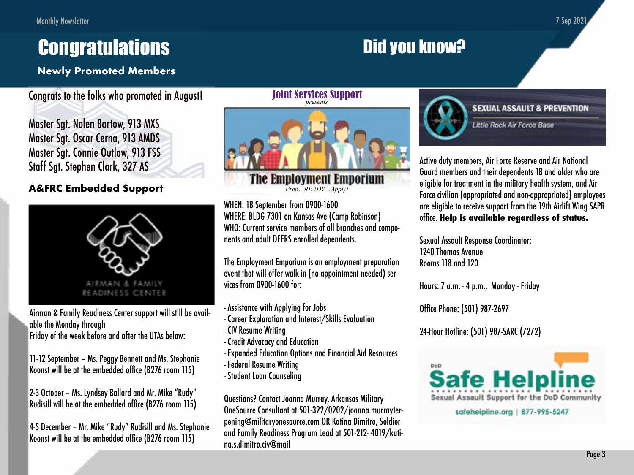7 Sep 2021

# <span id="page-2-0"></span>**Congratulations**

# **Newly Promoted Members**

# Congrats to the folks who promoted in August!

Master Sgt. Nolen Bartow, 913 MXS Master Sgt. Oscar Cerna, 913 AMDS Master Sgt. Connie Outlaw, 913 FSS Staff Sgt. Stephen Clark, 327 AS

# **A&FRC Embedded Support**



Airman & Family Readiness Center support will still be available the Monday through

Friday of the week before and after the UTAs below:

11-12 September – Ms. Peggy Bennett and Ms. Stephanie Koonst will be at the embedded office (B276 room 115)

2-3 October – Ms. Lyndsey Ballard and Mr. Mike "Rudy" Rudisill will be at the embedded office (B276 room 115)

4-5 December – Mr. Mike "Rudy" Rudisill and Ms. Stephanie Koonst will be at the embedded office (B276 room 115)

The Employment Emporium Joint Services Support presents

Prep…READY…Apply!

WHEN: 18 September from 0900-1600 WHENE DIDGE TOOL BRANCHES ALL BRANCHES AND COMPONENTS AND COMPONENTS AND ADULT DEEP ADULT DE WHERE: BLDG 7301 on Kansas Ave (Camp Robinson) WHO: Current service members of all branches and compo-**The Career Correct monuscipity of the Science** 

event that will offer walk-in (no appointment needed) ser-<br>vices from 0000 1400 for: The Employment Emporium is an employment preparation vices from 0900-1600 for:

- Assistance with Applying for Jobs
- Career Exploration and Interest/Skills Evaluation
- CIV Resume Writing
- Credit Advocacy and Education
- Expanded Education Options and Financial Aid Resources
- Federal Resume Writing
- Student Loan Counseling

Questions? Contact Joanna Murray, Arkansas Military OneSource Consultant at 501-322/0202/joanna.murrayterpening@militaryonesource.com OR Katina Dimitro, Soldier and Family Readiness Program Lead at 501-212- 4019/katina.s.dimitro.civ@mail



Did you know?

### **SEXUAL ASSAULT & PREVENTION**

**Little Rock Air Force Base** 

Active duty members, Air Force Reserve and Air National Guard members and their dependents 18 and older who are eligible for treatment in the military health system, and Air Force civilian (appropriated and non-appropriated) employees are eligible to receive support from the 19th Airlift Wing SAPR office. **Help is available regardless of status.**

Sexual Assault Response Coordinator: 1240 Thomas Avenue Rooms 118 and 120

Hours: 7 a.m. - 4 p.m., Monday - Friday

Office Phone: (501) 987-2697

24-Hour Hotline: (501) 987-SARC (7272)



safehelpline.org | 877-995-5247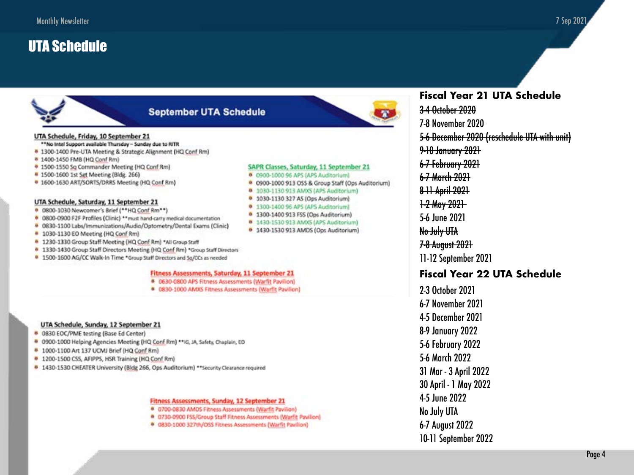# <span id="page-3-0"></span>**UTA Schedule**



## **September UTA Schedule**

#### UTA Schedule, Friday, 10 September 21

- \*\*No Intel Support available Thursday Sunday due to RITR
- \* 1300-1400 Pre-UTA Meeting & Strategic Alignment (HQ Conf Rm)
- <sup>0</sup> 1400-1450 FMB (HQ Conf Rm)
- <sup>0</sup> 1500-1550 Sq Commander Meeting (HQ Conf Rm)
- **0** 1500-1600 1st Set Meeting (Bldg. 266)
- <sup>0</sup> 1600-1630 ART/SORTS/DRRS Meeting (HQ Conf Rm)

#### UTA Schedule, Saturday, 11 September 21

- . 0800-1030 Newcomer's Brief (\*\* HQ Conf Rm\*\*)
- 6 0800-0900 F2F Profiles (Clinic) \*\* must hand-carry medical documentation
- <sup>0</sup> 0830-1100 Labs/Immunizations/Audio/Optometry/Dental Exams (Clinic)
- <sup>8</sup> 1030-1130 EO Meeting (HQ Conf Rm)
- <sup>8</sup> 1230-1330 Group Staff Meeting (HQ Conf Rm) \*All Group Staff
- <sup>0</sup> 1330-1430 Group Staff Directors Meeting (HQ Conf Rm) \*Group Staff Directors
- <sup>0</sup> 1500-1600 AG/CC Walk-In Time \*Group Staff Directors and So/CCs as needed

#### Fitness Assessments, Saturday, 11 September 21

- 6 0630-0800 APS Fitness Assessments (Warfit Pavilion)
- <sup>6</sup> 0830-1000 AMXS Fitness Assessments (Warfit Pavilion)

#### UTA Schedule, Sunday, 12 September 21

- 0830 EOC/PME testing (Base Ed Center)
- <sup>8</sup> 0900-1000 Helping Agencies Meeting (HQ Conf Rm) \*\* IG, JA, Safety, Chaplain, EO
- \* 1000-1100 Art 137 UCMJ Brief (HQ Conf Rm)
- <sup>0</sup> 1200-1500 CSS, AFIPPS, HSR Training (HQ Conf Rm)
- 1430-1530 CHEATER University (Bidg 266, Ops Auditorium) \*\* Security Clearance required

#### Fitness Assessments, Sunday, 12 September 21

- <sup>6</sup> 0700-0830 AMDS Fitness Assessments (Warfit Pavilion)
- <sup>0</sup> 0730-0900 FSS/Group Staff Fitness Assessments (Warfit Pavilion)
- <sup>0</sup> 0830-1000 327th/OSS Fitness Assessments [Warfit Pavilion]



#### SAPR Classes, Saturday, 11 September 21

- · 0900-1000 96 APS (APS Auditorium)
- <sup>0</sup> 0900-1000 913 OSS & Group Staff (Ops Auditorium)
- 0 1030-1130 913 AMXS (APS Auditorium)
- 0 1030-1130 327 AS (Ops Auditorium)
- 0 1300-1400 96 APS (APS Auditorium)
- <sup>0</sup> 1300-1400 913 FSS (Ops Auditorium)
- 8 1430-1530 913 AMXS (APS Auditorium)
- 0 1430-1530 913 AMDS (Ops Auditorium)

# **Fiscal Year 21 UTA Schedule**

3-4 October 2020 7-8 November 2020 5-6 December 2020 (reschedule UTA with unit) 9-10 January 2021 6-7 February 2021 6-7 March 2021 8-11 April 2021 1-2 May 2021 5-6 lune 2021 No July UTA 7-8 August 2021 11-12 September 2021

### **Fiscal Year 22 UTA Schedule**

2-3 October 2021 6-7 November 2021 **4-5 December 2021 8-9 January 2022 5-6 February 2022** 5-6 March 2022 31 Mar - 3 April 2022 30 April - 1 May 2022 4-5 June 2022 No July UTA 6-7 August 2022 10-11 September 2022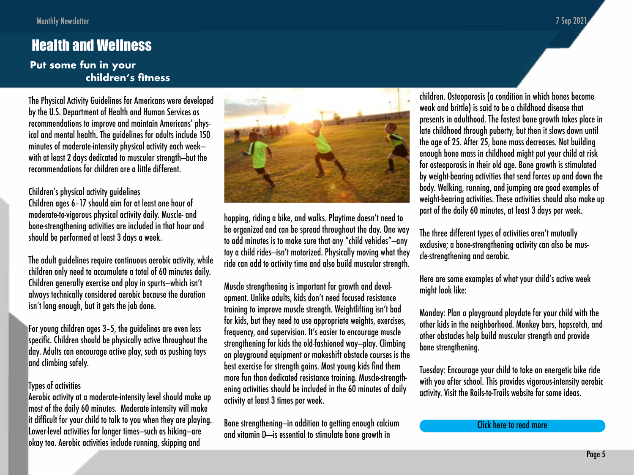# <span id="page-4-0"></span>Health and Wellness

## **Put some fun in your children's fitness**

The Physical Activity Guidelines for Americans were developed by the U.S. Department of Health and Human Services as recommendations to improve and maintain Americans' physical and mental health. The guidelines for adults include 150 minutes of moderate-intensity physical activity each week with at least 2 days dedicated to muscular strength—but the recommendations for children are a little different.

Children's physical activity guidelines Children ages 6–17 should aim for at least one hour of moderate-to-vigorous physical activity daily. Muscle- and bone-strengthening activities are included in that hour and should be performed at least 3 days a week.

The adult guidelines require continuous aerobic activity, while children only need to accumulate a total of 60 minutes daily. Children generally exercise and play in spurts—which isn't always technically considered aerobic because the duration isn't long enough, but it gets the job done.

For young children ages 3–5, the guidelines are even less specific. Children should be physically active throughout the day. Adults can encourage active play, such as pushing toys and climbing safely.

### Types of activities

Aerobic activity at a moderate-intensity level should make up most of the daily 60 minutes. Moderate intensity will make it difficult for your child to talk to you when they are playing. Lower-level activities for longer times—such as hiking—are okay too. Aerobic activities include running, skipping and



hopping, riding a bike, and walks. Playtime doesn't need to be organized and can be spread throughout the day. One way to add minutes is to make sure that any "child vehicles"—any toy a child rides—isn't motorized. Physically moving what they ride can add to activity time and also build muscular strength.

Muscle strengthening is important for growth and development. Unlike adults, kids don't need focused resistance training to improve muscle strength. Weightlifting isn't bad for kids, but they need to use appropriate weights, exercises, frequency, and supervision. It's easier to encourage muscle strengthening for kids the old-fashioned way—play. Climbing on playground equipment or makeshift obstacle courses is the best exercise for strength gains. Most young kids find them more fun than dedicated resistance training. Muscle-strengthening activities should be included in the 60 minutes of daily activity at least 3 times per week.

Bone strengthening—in addition to getting enough calcium and vitamin D- is essential to stimulate bone growth in

children. Osteoporosis (a condition in which bones become weak and brittle) is said to be a childhood disease that presents in adulthood. The fastest bone growth takes place in late childhood through puberty, but then it slows down until the age of 25. After 25, bone mass decreases. Not building enough bone mass in childhood might put your child at risk for osteoporosis in their old age. Bone growth is stimulated by weight-bearing activities that send forces up and down the body. Walking, running, and jumping are good examples of weight-bearing activities. These activities should also make up part of the daily 60 minutes, at least 3 days per week.

The three different types of activities aren't mutually exclusive; a bone-strengthening activity can also be muscle-strengthening and aerobic.

Here are some examples of what your child's active week might look like:

Monday: Plan a playground playdate for your child with the other kids in the neighborhood. Monkey bars, hopscotch, and other obstacles help build muscular strength and provide bone strengthening.

Tuesday: Encourage your child to take an energetic bike ride with you after school. This provides vigorous-intensity aerobic activity. Visit the Rails-to-Trails website for some ideas.

```
Click here to read more
```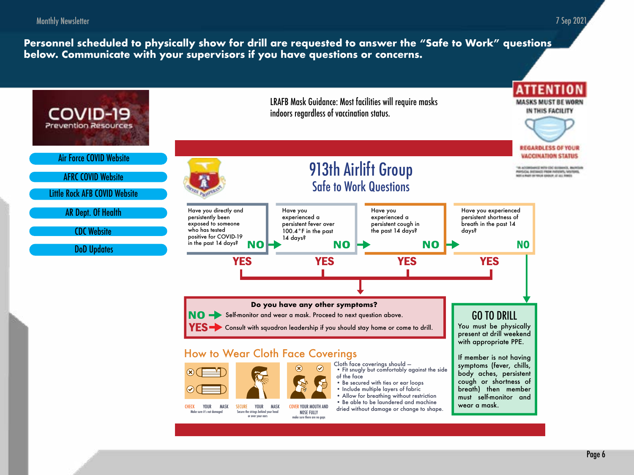<span id="page-5-0"></span>Monthly Newsletter

**Personnel scheduled to physically show for drill are requested to answer the "Safe to Work" questions below. Communicate with your supervisors if you have questions or concerns.** 



7 Sep 2021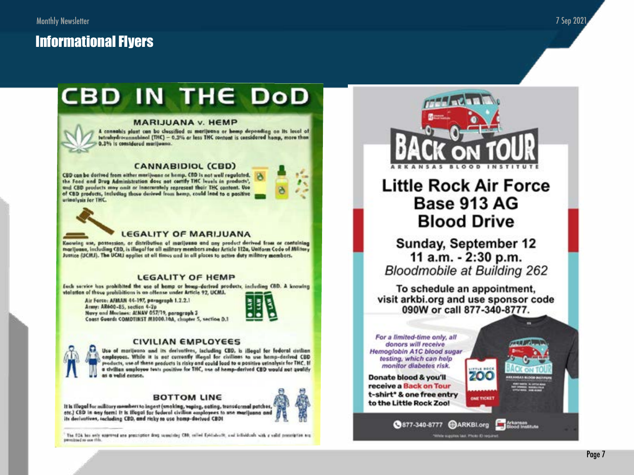# <span id="page-6-0"></span>**Informational Flyers**

# **CBD IN THE DOD**

#### **MARIJUANA v. HEMP**

A cannabis plant can be classified as marijuana or homp deponding on its lovel of tetraliydrocannablisal (THC) - 0.3% or less THC contant is considered homp, more than 0.3% is considered marijuana.

#### **CANNABIDIOL (CBD)**

CBD can be derived from either murijuano or hemp. CBD is not well regulated. the Food and Drug Administration does not corrify THC levels in products', and CBD products may assit or inaccurately represent their THC content. Use of CBD products, including those derived from hemp, could lead to a positive urinalysis for THC.



### **LEGALITY OF MARIJUANA**

Knowing use, possession, or distribution of marijuana and any product decived from or containing marijuano, including CBD, is illegal for all military members under Articlo 112a, Uniform Code of Military Justice (UCMJ). The UCMJ applies at all times and in all places to active duty military members.

### **LEGALITY OF HEMP**

Each service has prohibited the use of hemp or homp-derived products, including CBD. A knowing violation of those prohibitions is an offense under Article 92, UCMJ.

Air Force: AFMAN 44-197, paragraph 1.2.2.1 Army: AR600-85, section 4-2p Navy and Marines: ALNAV 057/19, paragraph 3 Coast Guard: COMDTINST M1000.10A, chapter 5, section D.1





### **CIVILIAN EMPLOYEES**

Use of marijeana and its decivatives, including CBD, is illegal for federal civilian employees. While it is not currently illegal for civilians to use hemp-derived CBD products, use of these products is risky and could load to a positive urinalysis for THC. If a civilian amployee tests positive for THC, use of hemp-derived CBD would not qualify as a valid excuse.

### **BOTTOM LINE**

It is Illugal for military members to ingest (smoking, vaping, cating, transdormal patches, etc.) CBD in any form! It is illegal for foderal civilian employees to use marijuana and<br>its derivatives, including CBD, and risky to use home-derived CBD!



The FOA bas note approved and procession drug conscioling CBB, salied Epidinhealt, and infinitionals with a volid proscription are permitted as one this



# **Little Rock Air Force** Base 913 AG **Blood Drive**

Sunday, September 12 11 a.m. - 2:30 p.m. **Bloodmobile at Building 262** 

To schedule an appointment, visit arkbi.org and use sponsor code 090W or call 877-340-8777.

> **LITTLE ROO** 200

**ONE TICKET** 

**377-340-8777 CARKBLorg Explorational Property** 

thrie supplies tast. Photo XI require

For a limited-time only, all donors will receive. Hemoglobin A1C blood sugar testing, which can help monitor diabetes risk.

Donate blood & you'll receive a Back on Tour t-shirt\* & one free entry to the Little Rock Zoo!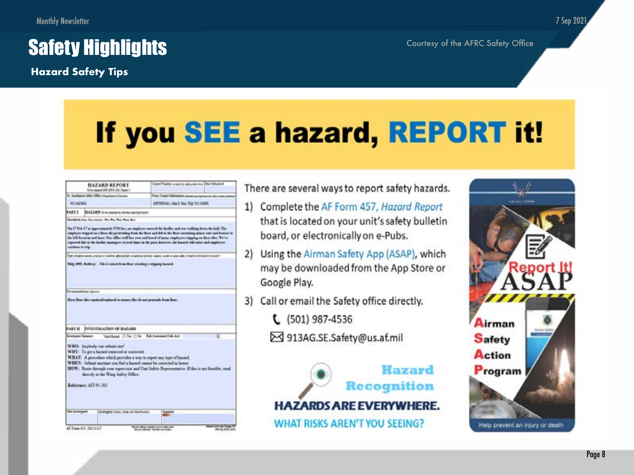# <span id="page-7-0"></span>**Safety Highlights** Courtesy of the AFRC Safety Office

**Hazard Safety Tips**

# If you SEE a hazard, REPORT it!

|                                             | <b>HAZARD REPORT</b><br>Tyle (separat JAW AFLE), Chairs 1.                                           | Castrol Nasher programs special control Date Schooled                                                                                                                                                                                                                                                                                                                                                                                                                    |  |
|---------------------------------------------|------------------------------------------------------------------------------------------------------|--------------------------------------------------------------------------------------------------------------------------------------------------------------------------------------------------------------------------------------------------------------------------------------------------------------------------------------------------------------------------------------------------------------------------------------------------------------------------|--|
| To Jandaiso Schry Office drawings 4 (autom) |                                                                                                      | From Crainet Sufferearists number spring to contact or next of                                                                                                                                                                                                                                                                                                                                                                                                           |  |
| <b>VOLAUME</b>                              |                                                                                                      | <b>GPTERIAL: Alia E. Doc. TAK 911-AMOS</b>                                                                                                                                                                                                                                                                                                                                                                                                                               |  |
| <b>FARTI</b>                                | BAZARD this organization entry tone                                                                  |                                                                                                                                                                                                                                                                                                                                                                                                                                                                          |  |
| continue to trip.                           |                                                                                                      | On 17 Feb 17 as approximately EOI hes, an employer antered the facility and was walking down the hall. The<br>sugabons tripped as a Bans the protessing from the Saur and bill to the Sons centaining minor suit and besture to<br>the left forcurate and have. Our office staff has seen and heard of many employees tripping on these tiles. We've<br>reported this to the facility managers several times in the past, however, the hazard triff raists and rauphysms |  |
|                                             |                                                                                                      |                                                                                                                                                                                                                                                                                                                                                                                                                                                                          |  |
|                                             | he association stress<br>Have floor the repaired replaced to covere the da not protestly from floor. |                                                                                                                                                                                                                                                                                                                                                                                                                                                                          |  |
| <b>PART II</b><br><b>Screttunia</b> Teamers | <b>ENVESTIGATION OF BAZARD</b>                                                                       | Veiding C To C To Re Ammerica and                                                                                                                                                                                                                                                                                                                                                                                                                                        |  |

## There are several ways to report safety hazards.

- 1) Complete the AF Form 457, Hazard Report that is located on your unit's safety bulletin board, or electronically on e-Pubs.
- 2) Using the Airman Safety App (ASAP), which may be downloaded from the App Store or Google Play.
- 3) Call or email the Safety office directly.
	- $C$  (501) 987-4536
	- → 913AG.SE.Safety@us.af.mil





7 Sep 2021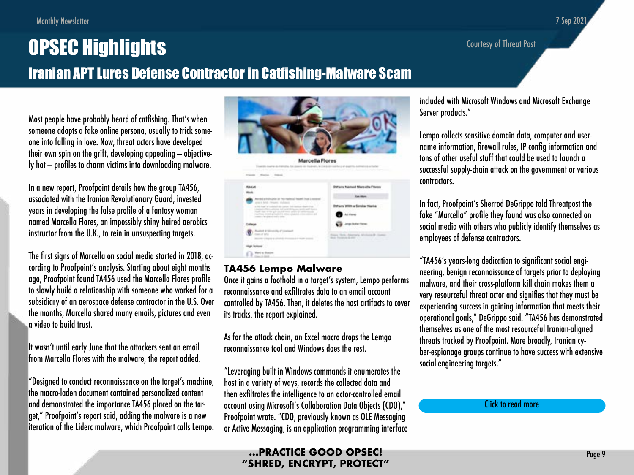Courtesy of Threat Post

# <span id="page-8-0"></span>OPSEC Highlights Iranian APT Lures Defense Contractor in Catfishing-Malware Scam

Most people have probably heard of catfishing. That's when someone adopts a fake online persona, usually to trick someone into falling in love. Now, threat actors have developed their own spin on the grift, developing appealing — objectively hot — profiles to charm victims into downloading malware.

In a new report, Proofpoint details how the group TA456, associated with the Iranian Revolutionary Guard, invested years in developing the false profile of a fantasy woman named Marcella Flores, an impossibly shiny haired aerobics instructor from the U.K., to rein in unsuspecting targets.

The first signs of Marcella on social media started in 2018, according to Proofpoint's analysis. Starting about eight months ago, Proofpoint found TA456 used the Marcella Flores profile to slowly build a relationship with someone who worked for a subsidiary of an aerospace defense contractor in the U.S. Over the months, Marcella shared many emails, pictures and even a video to build trust.

It wasn't until early June that the attackers sent an email from Marcella Flores with the malware, the report added.

"Designed to conduct reconnaissance on the target's machine, the macro-laden document contained personalized content and demonstrated the importance TA456 placed on the target," Proofpoint's report said, adding the malware is a new iteration of the Liderc malware, which Proofpoint calls Lempo.



## **TA456 Lempo Malware**

Once it gains a foothold in a target's system, Lempo performs reconnaissance and exfiltrates data to an email account controlled by TA456. Then, it deletes the host artifacts to cover its tracks, the report explained.

As for the attack chain, an Excel macro drops the Lemgo reconnaissance tool and Windows does the rest.

"Leveraging built-in Windows commands it enumerates the host in a variety of ways, records the collected data and then exfiltrates the intelligence to an actor-controlled email account using Microsoft's Collaboration Data Objects (CDO)," Proofpoint wrote. "CDO, previously known as OLE Messaging or Active Messaging, is an application programming interface included with Microsoft Windows and Microsoft Exchange Server products."

Lempo collects sensitive domain data, computer and username information, firewall rules, IP config information and tons of other useful stuff that could be used to launch a successful supply-chain attack on the government or various contractors.

In fact, Proofpoint's Sherrod DeGrippo told Threatpost the fake "Marcella" profile they found was also connected on social media with others who publicly identify themselves as employees of defense contractors.

"TA456's years-long dedication to significant social engineering, benign reconnaissance of targets prior to deploying malware, and their cross-platform kill chain makes them a very resourceful threat actor and signifies that they must be experiencing success in gaining information that meets their operational goals," DeGrippo said. "TA456 has demonstrated themselves as one of the most resourceful Iranian-aligned threats tracked by Proofpoint. More broadly, Iranian cyber-espionage groups continue to have success with extensive social-engineering targets."

[Click to read more](https://threatpost.com/iranian-apt-defense-contractor-catfish/168332/)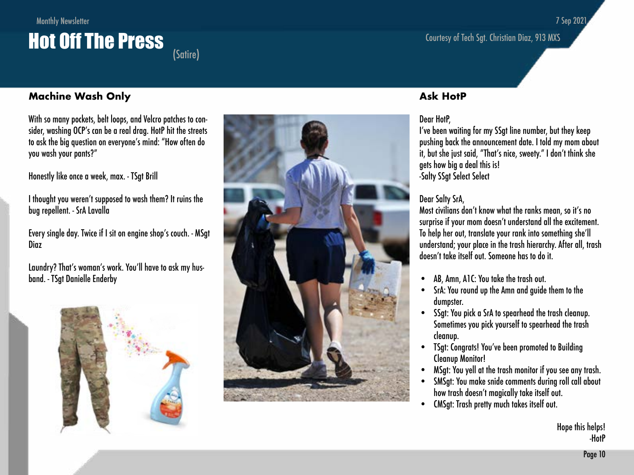# Monthly Newsletter **Hot Off The Press**

## **Machine Wash Only**

With so many pockets, belt loops, and Velcro patches to con sider, washing OCP's can be a real drag. HotP hit the streets to ask the big question on everyone's mind: "How often do you wash your pants?"

Honestly like once a week, max. - TSgt Brill

I thought you weren't supposed to wash them? It ruins the bug repellent. - SrA Lavalla

Every single day. Twice if I sit on engine shop's couch. - MSgt Diaz

Laundry? That's woman's work. You'll have to ask my hus band. - TSgt Danielle Enderby





### **Ask HotP**

### Dear HotP,

I've been waiting for my SSgt line number, but they keep pushing back the announcement date. I told my mom about it, but she just said, "That's nice, sweety." I don't think she gets how big a deal this is! -Salty SSgt Select Select

Courtesy of Tech Sgt. Christian Diaz, 913 MXS

### Dear Salty SrA,

Most civilians don't know what the ranks mean, so it's no surprise if your mom doesn't understand all the excitement. To help her out, translate your rank into something she'll understand; your place in the trash hierarchy. After all, trash doesn't take itself out. Someone has to do it.

- AB, Amn, A1C: You take the trash out.
- SrA: You round up the Amn and guide them to the dumpster.
- SSgt: You pick a SrA to spearhead the trash cleanup. Sometimes you pick yourself to spearhead the trash cleanup.
- TSgt: Congrats! You've been promoted to Building Cleanup Monitor!
- MSgt: You yell at the trash monitor if you see any trash.
- SMSgt: You make snide comments during roll call about how trash doesn't magically take itself out.
- CMSgt: Trash pretty much takes itself out.

## 7 Sep 2021